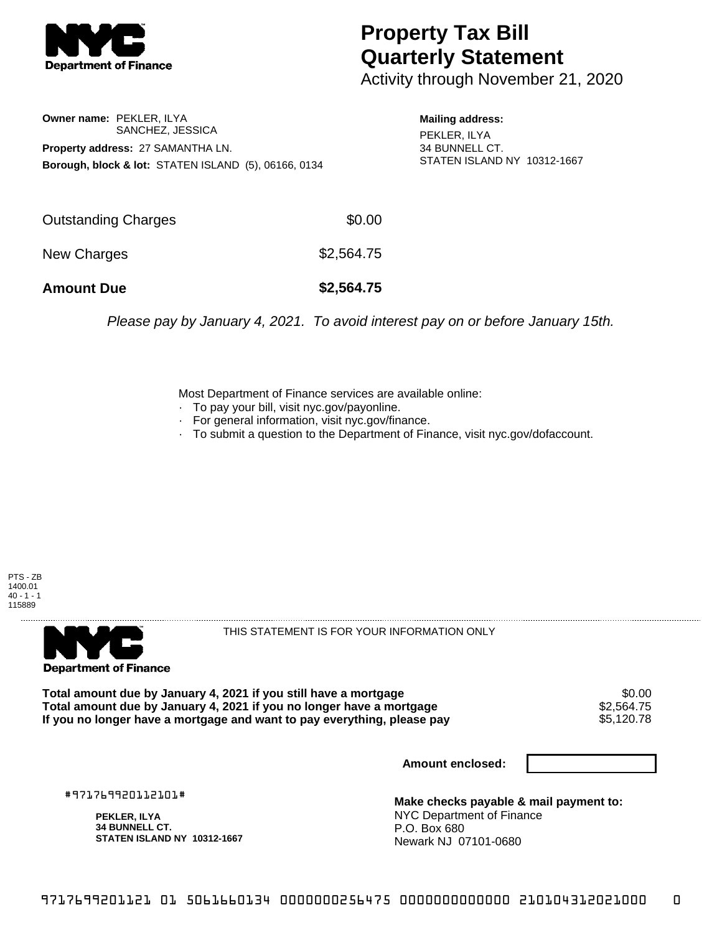

## **Property Tax Bill Quarterly Statement**

Activity through November 21, 2020

**Owner name:** PEKLER, ILYA SANCHEZ, JESSICA **Property address:** 27 SAMANTHA LN. **Borough, block & lot:** STATEN ISLAND (5), 06166, 0134

**Mailing address:** PEKLER, ILYA 34 BUNNELL CT. STATEN ISLAND NY 10312-1667

| <b>Amount Due</b>   | \$2,564.75 |
|---------------------|------------|
| New Charges         | \$2,564.75 |
| Outstanding Charges | \$0.00     |

Please pay by January 4, 2021. To avoid interest pay on or before January 15th.

Most Department of Finance services are available online:

- · To pay your bill, visit nyc.gov/payonline.
- For general information, visit nyc.gov/finance.
- · To submit a question to the Department of Finance, visit nyc.gov/dofaccount.





THIS STATEMENT IS FOR YOUR INFORMATION ONLY

Total amount due by January 4, 2021 if you still have a mortgage  $$0.00$ <br>Total amount due by January 4, 2021 if you no longer have a mortgage  $$2,564.75$ **Total amount due by January 4, 2021 if you no longer have a mortgage**  $$2,564.75$ **<br>If you no longer have a mortgage and want to pay everything, please pay <b>show that have a** \$5,120.78 If you no longer have a mortgage and want to pay everything, please pay

**Amount enclosed:**

#971769920112101#

**PEKLER, ILYA 34 BUNNELL CT. STATEN ISLAND NY 10312-1667**

**Make checks payable & mail payment to:** NYC Department of Finance P.O. Box 680 Newark NJ 07101-0680